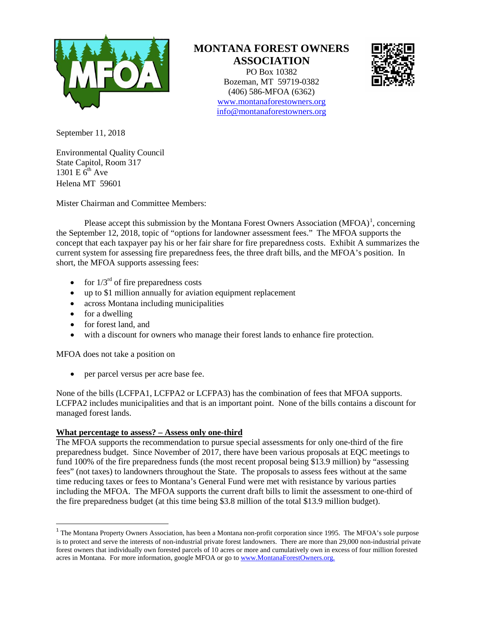

# **MONTANA FOREST OWNERS ASSOCIATION**

PO Box 10382 Bozeman, MT 59719-0382 (406) 586-MFOA (6362) [www.montanaforestowners.org](http://www.montanaforestowners.org/) [info@montanaforestowners.org](mailto:info@montanaforestowners.org)



September 11, 2018

Environmental Quality Council State Capitol, Room 317 1301 E  $\tilde{6}^{th}$  Ave Helena MT 59601

Mister Chairman and Committee Members:

Please accept this submission by the Montana Forest Owners Association (MFOA)<sup>[1](#page-0-0)</sup>, concerning the September 12, 2018, topic of "options for landowner assessment fees." The MFOA supports the concept that each taxpayer pay his or her fair share for fire preparedness costs. Exhibit A summarizes the current system for assessing fire preparedness fees, the three draft bills, and the MFOA's position. In short, the MFOA supports assessing fees:

- for  $1/3^{rd}$  of fire preparedness costs
- up to \$1 million annually for aviation equipment replacement
- across Montana including municipalities
- for a dwelling
- for forest land, and
- with a discount for owners who manage their forest lands to enhance fire protection.

MFOA does not take a position on

• per parcel versus per acre base fee.

None of the bills (LCFPA1, LCFPA2 or LCFPA3) has the combination of fees that MFOA supports. LCFPA2 includes municipalities and that is an important point. None of the bills contains a discount for managed forest lands.

# **What percentage to assess? – Assess only one-third**

The MFOA supports the recommendation to pursue special assessments for only one-third of the fire preparedness budget. Since November of 2017, there have been various proposals at EQC meetings to fund 100% of the fire preparedness funds (the most recent proposal being \$13.9 million) by "assessing fees" (not taxes) to landowners throughout the State. The proposals to assess fees without at the same time reducing taxes or fees to Montana's General Fund were met with resistance by various parties including the MFOA. The MFOA supports the current draft bills to limit the assessment to one-third of the fire preparedness budget (at this time being \$3.8 million of the total \$13.9 million budget).

<span id="page-0-0"></span><sup>&</sup>lt;sup>1</sup> The Montana Property Owners Association, has been a Montana non-profit corporation since 1995. The MFOA's sole purpose is to protect and serve the interests of non-industrial private forest landowners. There are more than 29,000 non-industrial private forest owners that individually own forested parcels of 10 acres or more and cumulatively own in excess of four million forested acres in Montana. For more information, google MFOA or go t[o www.MontanaForestOwners.org.](http://www.montanaforestowners.org/)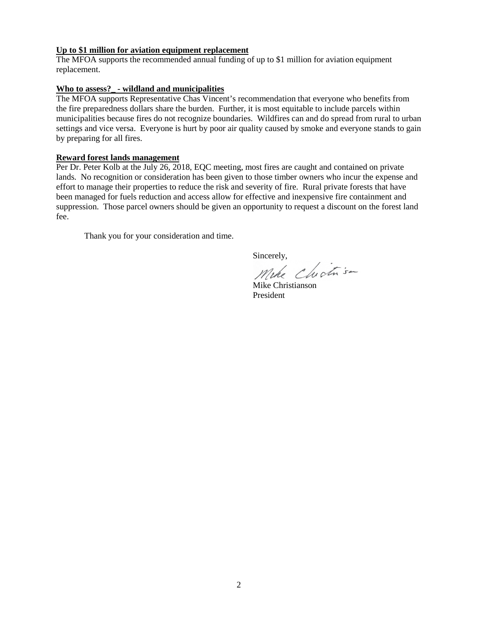### **Up to \$1 million for aviation equipment replacement**

The MFOA supports the recommended annual funding of up to \$1 million for aviation equipment replacement.

## **Who to assess?\_ - wildland and municipalities**

The MFOA supports Representative Chas Vincent's recommendation that everyone who benefits from the fire preparedness dollars share the burden. Further, it is most equitable to include parcels within municipalities because fires do not recognize boundaries. Wildfires can and do spread from rural to urban settings and vice versa. Everyone is hurt by poor air quality caused by smoke and everyone stands to gain by preparing for all fires.

## **Reward forest lands management**

Per Dr. Peter Kolb at the July 26, 2018, EQC meeting, most fires are caught and contained on private lands. No recognition or consideration has been given to those timber owners who incur the expense and effort to manage their properties to reduce the risk and severity of fire. Rural private forests that have been managed for fuels reduction and access allow for effective and inexpensive fire containment and suppression. Those parcel owners should be given an opportunity to request a discount on the forest land fee.

Thank you for your consideration and time.

Sincerely,<br>Mike Chich s-

Mike Christianson President